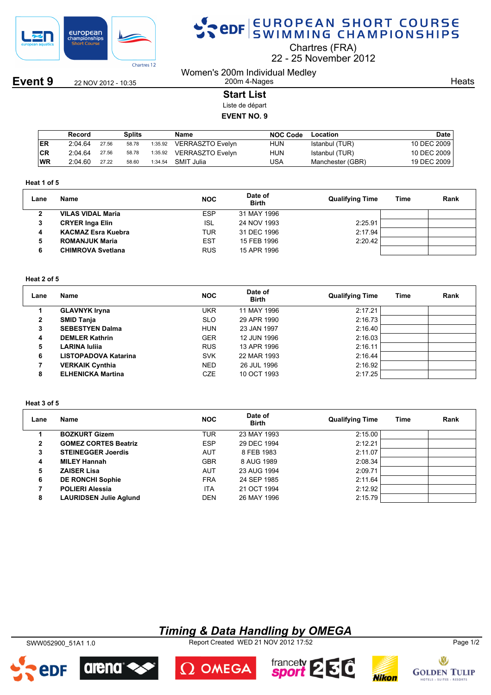

**Event 9** 22 NOV 2012 - 10:35

# SPOR EUROPEAN SHORT COURSE

Chartres (FRA)

22 25 November 2012

Women's 200m Individual Medley 200m 4-Nages

**Heats** 

**Start List**

Liste de départ

**EVENT NO. 9**

|            | Record  |       | Splits |         | Name             | <b>NOC Code</b> | Location         | <b>Date</b> |
|------------|---------|-------|--------|---------|------------------|-----------------|------------------|-------------|
| <b>IER</b> | 2:04.64 | 27.56 | 58.78  | 1:35.92 | VERRASZTO Evelyn | HUN             | Istanbul (TUR)   | 10 DEC 2009 |
| CR         | 2:04.64 | 27.56 | 58.78  | 1:35.92 | VERRASZTO Evelvn | HUN             | Istanbul (TUR)   | 10 DEC 2009 |
| <b>WR</b>  | 2:04.60 | 27.22 | 58.60  | 1:34.54 | SMIT Julia       | JSA             | Manchester (GBR) | 19 DEC 2009 |

#### **Heat 1 of 5**

| Lane | Name                      | <b>NOC</b> | Date of<br><b>Birth</b> | <b>Qualifying Time</b> | Time | Rank |
|------|---------------------------|------------|-------------------------|------------------------|------|------|
|      | <b>VILAS VIDAL Maria</b>  | <b>ESP</b> | 31 MAY 1996             |                        |      |      |
| 3    | <b>CRYER Inga Elin</b>    | ISL        | 24 NOV 1993             | 2:25.91                |      |      |
|      | <b>KACMAZ Esra Kuebra</b> | TUR        | 31 DEC 1996             | 2:17.94                |      |      |
| 5    | <b>ROMANJUK Maria</b>     | <b>EST</b> | 15 FEB 1996             | 2:20.42                |      |      |
| 6    | <b>CHIMROVA Svetlana</b>  | <b>RUS</b> | 15 APR 1996             |                        |      |      |

#### **Heat 2 of 5**

| Lane | Name                     | <b>NOC</b> | Date of<br><b>Birth</b> | <b>Qualifying Time</b> | Time | Rank |
|------|--------------------------|------------|-------------------------|------------------------|------|------|
|      | <b>GLAVNYK Iryna</b>     | <b>UKR</b> | 11 MAY 1996             | 2:17.21                |      |      |
| 2    | <b>SMID Tanja</b>        | <b>SLO</b> | 29 APR 1990             | 2:16.73                |      |      |
| 3    | <b>SEBESTYEN Dalma</b>   | <b>HUN</b> | 23 JAN 1997             | 2:16.40                |      |      |
| 4    | <b>DEMLER Kathrin</b>    | <b>GER</b> | 12 JUN 1996             | 2:16.03                |      |      |
| 5    | LARINA Iuliia            | <b>RUS</b> | 13 APR 1996             | 2:16.11                |      |      |
| 6    | LISTOPADOVA Katarina     | <b>SVK</b> | 22 MAR 1993             | 2:16.44                |      |      |
|      | <b>VERKAIK Cynthia</b>   | <b>NED</b> | 26 JUL 1996             | 2:16.92                |      |      |
| 8    | <b>ELHENICKA Martina</b> | <b>CZE</b> | 10 OCT 1993             | 2:17.25                |      |      |

#### **Heat 3 of 5**

| Lane | Name                          | <b>NOC</b> | Date of<br><b>Birth</b> | <b>Qualifying Time</b> | Time | Rank |
|------|-------------------------------|------------|-------------------------|------------------------|------|------|
|      | <b>BOZKURT Gizem</b>          | TUR        | 23 MAY 1993             | 2:15.00                |      |      |
| 2    | <b>GOMEZ CORTES Beatriz</b>   | <b>ESP</b> | 29 DEC 1994             | 2:12.21                |      |      |
| 3    | <b>STEINEGGER Joerdis</b>     | AUT        | 8 FEB 1983              | 2:11.07                |      |      |
| 4    | <b>MILEY Hannah</b>           | <b>GBR</b> | 8 AUG 1989              | 2:08.34                |      |      |
| 5    | <b>ZAISER Lisa</b>            | AUT        | 23 AUG 1994             | 2:09.71                |      |      |
| 6    | <b>DE RONCHI Sophie</b>       | <b>FRA</b> | 24 SEP 1985             | 2:11.64                |      |      |
|      | <b>POLIERI Alessia</b>        | <b>ITA</b> | 21 OCT 1994             | 2:12.92                |      |      |
| 8    | <b>LAURIDSEN Julie Aglund</b> | <b>DEN</b> | 26 MAY 1996             | 2:15.79                |      |      |

### *Timing & Data Handling by OMEGA*

SWW052900\_51A1 1.0 Report Created WED 21 NOV 2012 17:52 Page 1/2









 $\Omega$  OMEGA